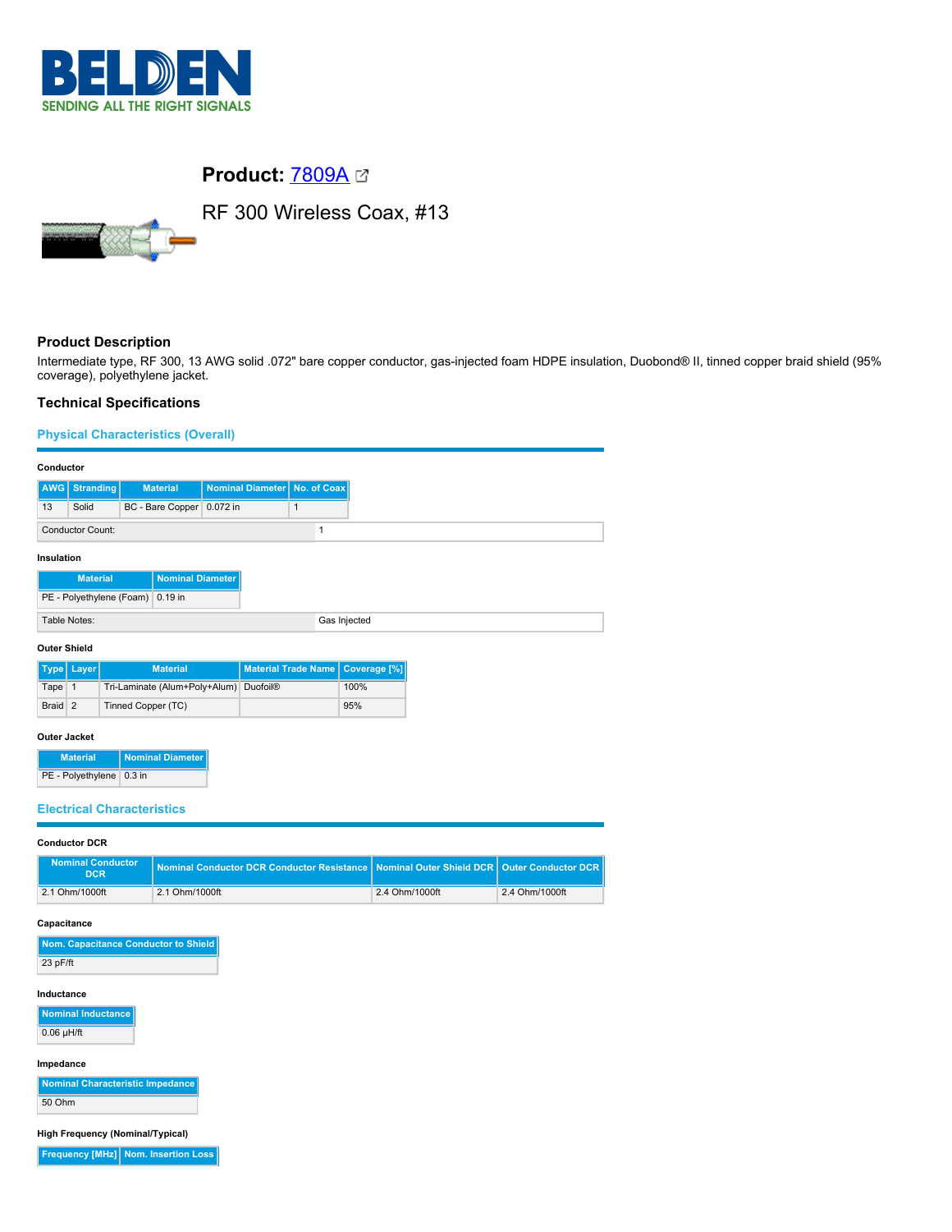

# **Product:** [7809A](https://catalog.belden.com/index.cfm?event=pd&p=PF_7809A&tab=downloads)



RF 300 Wireless Coax, #13

## **Product Description**

Intermediate type, RF 300, 13 AWG solid .072" bare copper conductor, gas-injected foam HDPE insulation, Duobond® II, tinned copper braid shield (95% coverage), polyethylene jacket.

## **Technical Specifications**

## **Physical Characteristics (Overall) Conductor AWG Stranding Material Nominal Diameter No. of Coax** 13 Solid BC - Bare Copper 0.072 in 1 Conductor Count: 1 **Insulation Material | Nominal Diameter** PE - Polyethylene (Foam) 0.19 in Table Notes: Gas Injected **Outer Shield**

|         | Type   Layer | <b>Material</b>                        | Material Trade Name   Coverage [%] |      |
|---------|--------------|----------------------------------------|------------------------------------|------|
| Tape 1  |              | Tri-Laminate (Alum+Poly+Alum) Duofoil® |                                    | 100% |
| Braid 2 |              | Tinned Copper (TC)                     |                                    | 95%  |

#### **Outer Jacket**

| <b>Material</b>            | Nominal Diameter |
|----------------------------|------------------|
| PE - Polyethylene   0.3 in |                  |

## **Electrical Characteristics**

#### **Conductor DCR**

| Nominal Conductor<br>DCR <sup>1</sup> | Nominal Conductor DCR Conductor Resistance Nominal Outer Shield DCR Quiter Conductor DCR |                |                |
|---------------------------------------|------------------------------------------------------------------------------------------|----------------|----------------|
| 2.1 Ohm/1000ft                        | 2.1 Ohm/1000ft                                                                           | 2.4 Ohm/1000ft | 2.4 Ohm/1000ft |

#### **Capacitance**

| Nom. Capacitance Conductor to Shield |
|--------------------------------------|
| $23$ pF/ft                           |

#### **Inductance**

**Nominal Inductance**  $0.06$  µH/ft

#### **Impedance**

**Nominal Characteristic Impedance** 50 Ohm

**High Frequency (Nominal/Typical)**

**Frequency [MHz] Nom. Insertion Loss**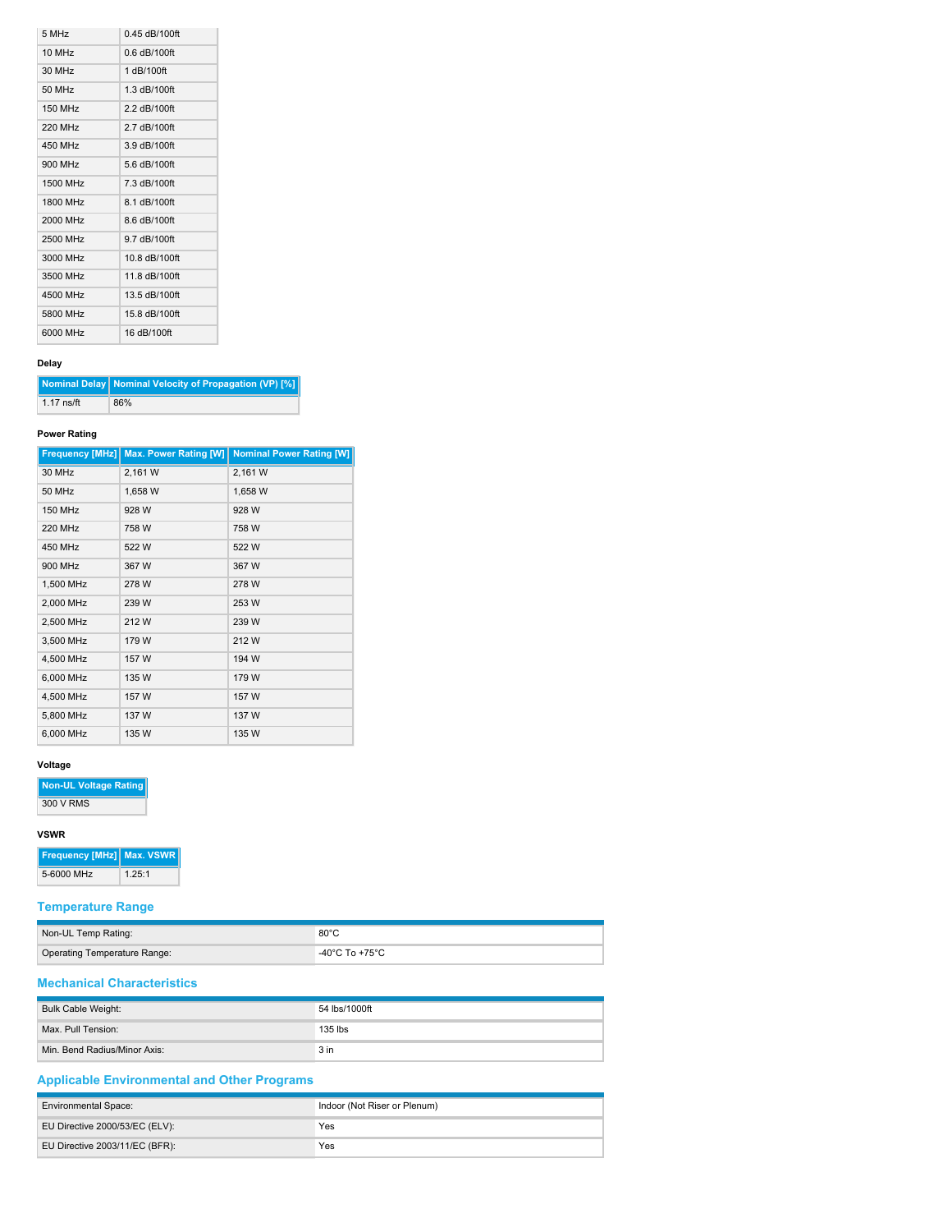| 5 MHz                | $0.45$ dB/100ft |
|----------------------|-----------------|
| $10$ MH <sub>z</sub> | $0.6$ dB/100ft  |
| 30 MHz               | 1 dB/100ft      |
| 50 MHz               | 1.3 dB/100ft    |
| <b>150 MHz</b>       | 2.2 dB/100ft    |
| 220 MHz              | 2.7 dB/100ft    |
| 450 MHz              | $3.9$ dB/100ft  |
| 900 MHz              | 5.6 dB/100ft    |
| 1500 MHz             | 7.3 dB/100ft    |
| 1800 MHz             | 8.1 dB/100ft    |
| 2000 MHz             | 8.6 dB/100ft    |
| 2500 MHz             | 9.7 dB/100ft    |
| 3000 MHz             | 10.8 dB/100ft   |
| 3500 MHz             | 11.8 dB/100ft   |
| 4500 MHz             | 13.5 dB/100ft   |
| 5800 MHz             | 15.8 dB/100ft   |
| 6000 MHz             | 16 dB/100ft     |

## **Delay**

**Nominal Delay Nominal Velocity of Propagation (VP) [%]** 1.17 ns/ft 86%

## **Power Rating**

| <b>Frequency [MHz]</b> | <b>Max. Power Rating [W]</b> | <b>Nominal Power Rating [W]</b> |
|------------------------|------------------------------|---------------------------------|
| 30 MHz                 | 2,161 W                      | 2,161 W                         |
| 50 MHz                 | 1,658 W                      | 1,658 W                         |
| <b>150 MHz</b>         | 928 W                        | 928 W                           |
| <b>220 MHz</b>         | 758 W                        | 758 W                           |
| 450 MHz                | 522W                         | 522W                            |
| 900 MHz                | 367 W                        | 367 W                           |
| 1,500 MHz              | 278 W                        | 278 W                           |
| 2,000 MHz              | 239 W                        | 253 W                           |
| 2,500 MHz              | 212W                         | 239 W                           |
| 3,500 MHz              | 179 W                        | 212W                            |
| 4,500 MHz              | 157 W                        | 194 W                           |
| 6,000 MHz              | 135 W                        | 179 W                           |
| 4,500 MHz              | 157 W                        | 157 W                           |
| 5,800 MHz              | 137 W                        | 137 W                           |
| 6,000 MHz              | 135 W                        | 135 W                           |

## **Voltage**

**Non-UL Voltage Rating**

300 V RMS

#### **VSWR**

| <b>Frequency [MHz] Max. VSWR  </b> |        |
|------------------------------------|--------|
| 5-6000 MHz                         | 1.25:1 |

## **Temperature Range**

| Non-UL Temp Rating:                 | $80^{\circ}$ C                          |
|-------------------------------------|-----------------------------------------|
| <b>Operating Temperature Range:</b> | $-40^{\circ}$ C To +75 $^{\circ}$ C $-$ |

## **Mechanical Characteristics**

| Bulk Cable Weight:           | 54 lbs/1000ft   |
|------------------------------|-----------------|
| Max. Pull Tension:           | 135 lbs         |
| Min. Bend Radius/Minor Axis: | 3 <sub>in</sub> |

## **Applicable Environmental and Other Programs**

| <b>Environmental Space:</b>    | Indoor (Not Riser or Plenum) |
|--------------------------------|------------------------------|
| EU Directive 2000/53/EC (ELV): | Yes                          |
| EU Directive 2003/11/EC (BFR): | Yes                          |